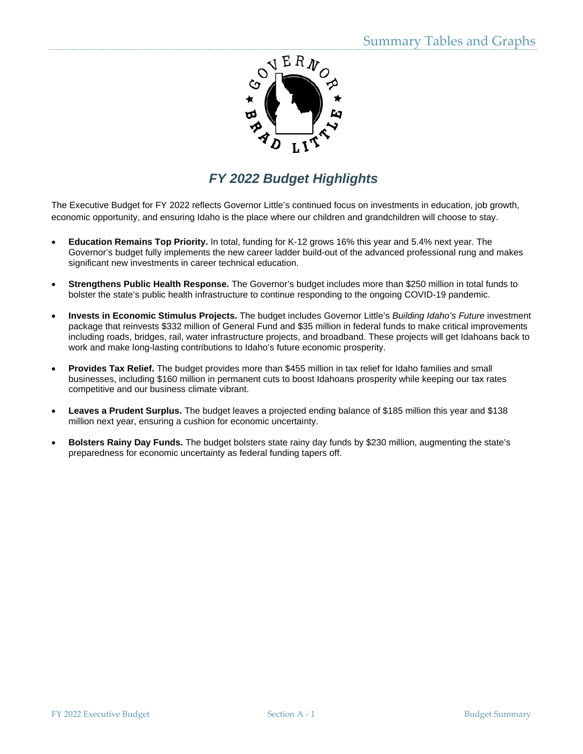

# *FY 2022 Budget Highlights*

The Executive Budget for FY 2022 reflects Governor Little's continued focus on investments in education, job growth, economic opportunity, and ensuring Idaho is the place where our children and grandchildren will choose to stay.

- **Education Remains Top Priority.** In total, funding for K-12 grows 16% this year and 5.4% next year. The Governor's budget fully implements the new career ladder build-out of the advanced professional rung and makes significant new investments in career technical education.
- **Strengthens Public Health Response.** The Governor's budget includes more than \$250 million in total funds to bolster the state's public health infrastructure to continue responding to the ongoing COVID-19 pandemic.
- **Invests in Economic Stimulus Projects.** The budget includes Governor Little's *Building Idaho's Future* investment package that reinvests \$332 million of General Fund and \$35 million in federal funds to make critical improvements including roads, bridges, rail, water infrastructure projects, and broadband. These projects will get Idahoans back to work and make long-lasting contributions to Idaho's future economic prosperity.
- **Provides Tax Relief.** The budget provides more than \$455 million in tax relief for Idaho families and small businesses, including \$160 million in permanent cuts to boost Idahoans prosperity while keeping our tax rates competitive and our business climate vibrant.
- **Leaves a Prudent Surplus.** The budget leaves a projected ending balance of \$185 million this year and \$138 million next year, ensuring a cushion for economic uncertainty.
- **Bolsters Rainy Day Funds.** The budget bolsters state rainy day funds by \$230 million, augmenting the state's preparedness for economic uncertainty as federal funding tapers off.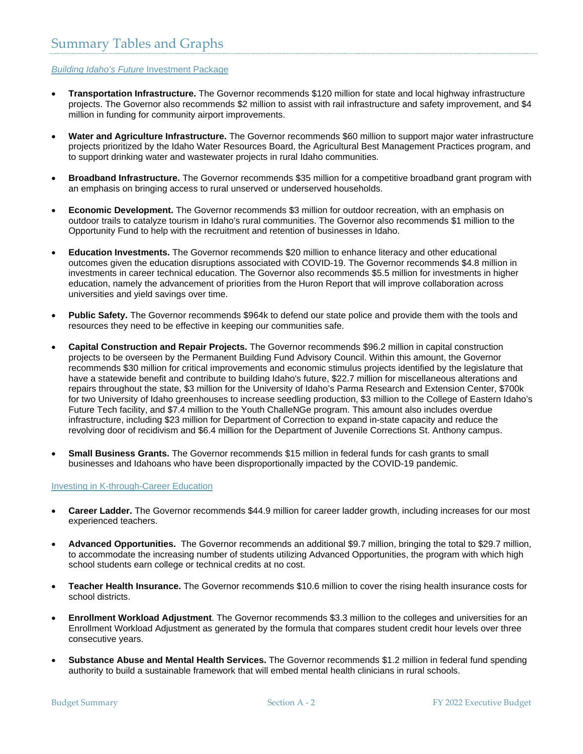# *Building Idaho's Future* Investment Package

- **Transportation Infrastructure.** The Governor recommends \$120 million for state and local highway infrastructure projects. The Governor also recommends \$2 million to assist with rail infrastructure and safety improvement, and \$4 million in funding for community airport improvements.
- **Water and Agriculture Infrastructure.** The Governor recommends \$60 million to support major water infrastructure projects prioritized by the Idaho Water Resources Board, the Agricultural Best Management Practices program, and to support drinking water and wastewater projects in rural Idaho communities.
- **Broadband Infrastructure.** The Governor recommends \$35 million for a competitive broadband grant program with an emphasis on bringing access to rural unserved or underserved households.
- **Economic Development.** The Governor recommends \$3 million for outdoor recreation, with an emphasis on outdoor trails to catalyze tourism in Idaho's rural communities. The Governor also recommends \$1 million to the Opportunity Fund to help with the recruitment and retention of businesses in Idaho.
- **Education Investments.** The Governor recommends \$20 million to enhance literacy and other educational outcomes given the education disruptions associated with COVID-19. The Governor recommends \$4.8 million in investments in career technical education. The Governor also recommends \$5.5 million for investments in higher education, namely the advancement of priorities from the Huron Report that will improve collaboration across universities and yield savings over time.
- **Public Safety.** The Governor recommends \$964k to defend our state police and provide them with the tools and resources they need to be effective in keeping our communities safe.
- **Capital Construction and Repair Projects.** The Governor recommends \$96.2 million in capital construction projects to be overseen by the Permanent Building Fund Advisory Council. Within this amount, the Governor recommends \$30 million for critical improvements and economic stimulus projects identified by the legislature that have a statewide benefit and contribute to building Idaho's future, \$22.7 million for miscellaneous alterations and repairs throughout the state, \$3 million for the University of Idaho's Parma Research and Extension Center, \$700k for two University of Idaho greenhouses to increase seedling production, \$3 million to the College of Eastern Idaho's Future Tech facility, and \$7.4 million to the Youth ChalleNGe program. This amount also includes overdue infrastructure, including \$23 million for Department of Correction to expand in-state capacity and reduce the revolving door of recidivism and \$6.4 million for the Department of Juvenile Corrections St. Anthony campus.
- **Small Business Grants.** The Governor recommends \$15 million in federal funds for cash grants to small businesses and Idahoans who have been disproportionally impacted by the COVID-19 pandemic.

#### Investing in K-through-Career Education

- **Career Ladder.** The Governor recommends \$44.9 million for career ladder growth, including increases for our most experienced teachers.
- **Advanced Opportunities.** The Governor recommends an additional \$9.7 million, bringing the total to \$29.7 million, to accommodate the increasing number of students utilizing Advanced Opportunities, the program with which high school students earn college or technical credits at no cost.
- **Teacher Health Insurance.** The Governor recommends \$10.6 million to cover the rising health insurance costs for school districts.
- **Enrollment Workload Adjustment**. The Governor recommends \$3.3 million to the colleges and universities for an Enrollment Workload Adjustment as generated by the formula that compares student credit hour levels over three consecutive years.
- **Substance Abuse and Mental Health Services.** The Governor recommends \$1.2 million in federal fund spending authority to build a sustainable framework that will embed mental health clinicians in rural schools.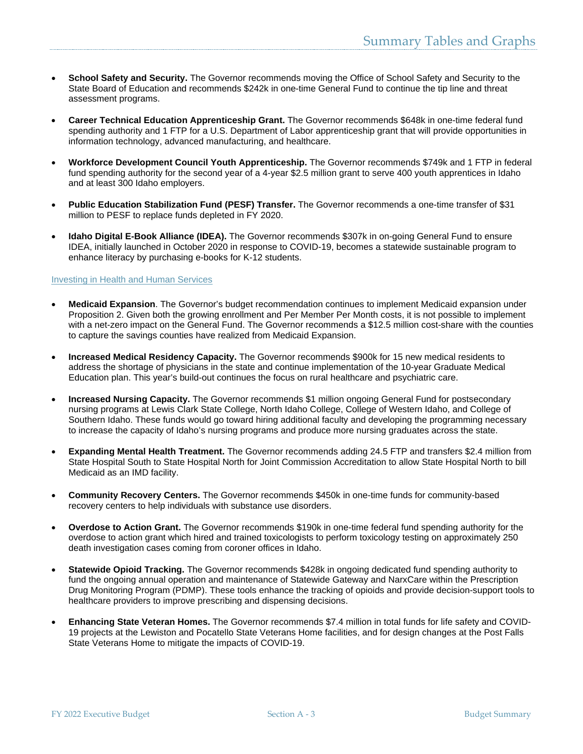- **School Safety and Security.** The Governor recommends moving the Office of School Safety and Security to the State Board of Education and recommends \$242k in one-time General Fund to continue the tip line and threat assessment programs.
- **Career Technical Education Apprenticeship Grant.** The Governor recommends \$648k in one-time federal fund spending authority and 1 FTP for a U.S. Department of Labor apprenticeship grant that will provide opportunities in information technology, advanced manufacturing, and healthcare.
- **Workforce Development Council Youth Apprenticeship.** The Governor recommends \$749k and 1 FTP in federal fund spending authority for the second year of a 4-year \$2.5 million grant to serve 400 youth apprentices in Idaho and at least 300 Idaho employers.
- **Public Education Stabilization Fund (PESF) Transfer.** The Governor recommends a one-time transfer of \$31 million to PESF to replace funds depleted in FY 2020.
- **Idaho Digital E-Book Alliance (IDEA).** The Governor recommends \$307k in on-going General Fund to ensure IDEA, initially launched in October 2020 in response to COVID-19, becomes a statewide sustainable program to enhance literacy by purchasing e-books for K-12 students.

# Investing in Health and Human Services

- **Medicaid Expansion**. The Governor's budget recommendation continues to implement Medicaid expansion under Proposition 2. Given both the growing enrollment and Per Member Per Month costs, it is not possible to implement with a net-zero impact on the General Fund. The Governor recommends a \$12.5 million cost-share with the counties to capture the savings counties have realized from Medicaid Expansion.
- **Increased Medical Residency Capacity.** The Governor recommends \$900k for 15 new medical residents to address the shortage of physicians in the state and continue implementation of the 10-year Graduate Medical Education plan. This year's build-out continues the focus on rural healthcare and psychiatric care.
- **Increased Nursing Capacity.** The Governor recommends \$1 million ongoing General Fund for postsecondary nursing programs at Lewis Clark State College, North Idaho College, College of Western Idaho, and College of Southern Idaho. These funds would go toward hiring additional faculty and developing the programming necessary to increase the capacity of Idaho's nursing programs and produce more nursing graduates across the state.
- **Expanding Mental Health Treatment.** The Governor recommends adding 24.5 FTP and transfers \$2.4 million from State Hospital South to State Hospital North for Joint Commission Accreditation to allow State Hospital North to bill Medicaid as an IMD facility.
- **Community Recovery Centers.** The Governor recommends \$450k in one-time funds for community-based recovery centers to help individuals with substance use disorders.
- **Overdose to Action Grant.** The Governor recommends \$190k in one-time federal fund spending authority for the overdose to action grant which hired and trained toxicologists to perform toxicology testing on approximately 250 death investigation cases coming from coroner offices in Idaho.
- **Statewide Opioid Tracking.** The Governor recommends \$428k in ongoing dedicated fund spending authority to fund the ongoing annual operation and maintenance of Statewide Gateway and NarxCare within the Prescription Drug Monitoring Program (PDMP). These tools enhance the tracking of opioids and provide decision-support tools to healthcare providers to improve prescribing and dispensing decisions.
- **Enhancing State Veteran Homes.** The Governor recommends \$7.4 million in total funds for life safety and COVID-19 projects at the Lewiston and Pocatello State Veterans Home facilities, and for design changes at the Post Falls State Veterans Home to mitigate the impacts of COVID-19.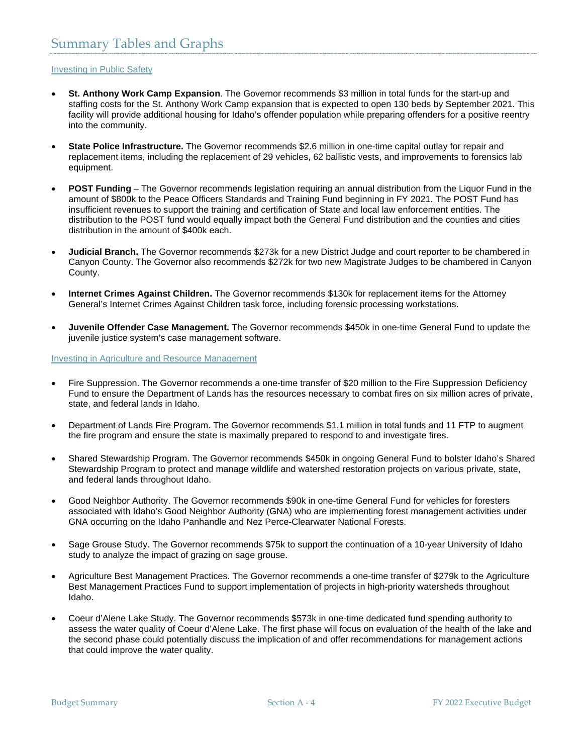# Investing in Public Safety

- **St. Anthony Work Camp Expansion**. The Governor recommends \$3 million in total funds for the start-up and staffing costs for the St. Anthony Work Camp expansion that is expected to open 130 beds by September 2021. This facility will provide additional housing for Idaho's offender population while preparing offenders for a positive reentry into the community.
- **State Police Infrastructure.** The Governor recommends \$2.6 million in one-time capital outlay for repair and replacement items, including the replacement of 29 vehicles, 62 ballistic vests, and improvements to forensics lab equipment.
- **POST Funding** The Governor recommends legislation requiring an annual distribution from the Liquor Fund in the amount of \$800k to the Peace Officers Standards and Training Fund beginning in FY 2021. The POST Fund has insufficient revenues to support the training and certification of State and local law enforcement entities. The distribution to the POST fund would equally impact both the General Fund distribution and the counties and cities distribution in the amount of \$400k each.
- **Judicial Branch.** The Governor recommends \$273k for a new District Judge and court reporter to be chambered in Canyon County. The Governor also recommends \$272k for two new Magistrate Judges to be chambered in Canyon County.
- **Internet Crimes Against Children.** The Governor recommends \$130k for replacement items for the Attorney General's Internet Crimes Against Children task force, including forensic processing workstations.
- **Juvenile Offender Case Management.** The Governor recommends \$450k in one-time General Fund to update the juvenile justice system's case management software.

## Investing in Agriculture and Resource Management

- Fire Suppression. The Governor recommends a one-time transfer of \$20 million to the Fire Suppression Deficiency Fund to ensure the Department of Lands has the resources necessary to combat fires on six million acres of private, state, and federal lands in Idaho.
- Department of Lands Fire Program. The Governor recommends \$1.1 million in total funds and 11 FTP to augment the fire program and ensure the state is maximally prepared to respond to and investigate fires.
- Shared Stewardship Program. The Governor recommends \$450k in ongoing General Fund to bolster Idaho's Shared Stewardship Program to protect and manage wildlife and watershed restoration projects on various private, state, and federal lands throughout Idaho.
- Good Neighbor Authority. The Governor recommends \$90k in one-time General Fund for vehicles for foresters associated with Idaho's Good Neighbor Authority (GNA) who are implementing forest management activities under GNA occurring on the Idaho Panhandle and Nez Perce-Clearwater National Forests.
- Sage Grouse Study. The Governor recommends \$75k to support the continuation of a 10-year University of Idaho study to analyze the impact of grazing on sage grouse.
- Agriculture Best Management Practices. The Governor recommends a one-time transfer of \$279k to the Agriculture Best Management Practices Fund to support implementation of projects in high-priority watersheds throughout Idaho.
- Coeur d'Alene Lake Study. The Governor recommends \$573k in one-time dedicated fund spending authority to assess the water quality of Coeur d'Alene Lake. The first phase will focus on evaluation of the health of the lake and the second phase could potentially discuss the implication of and offer recommendations for management actions that could improve the water quality.